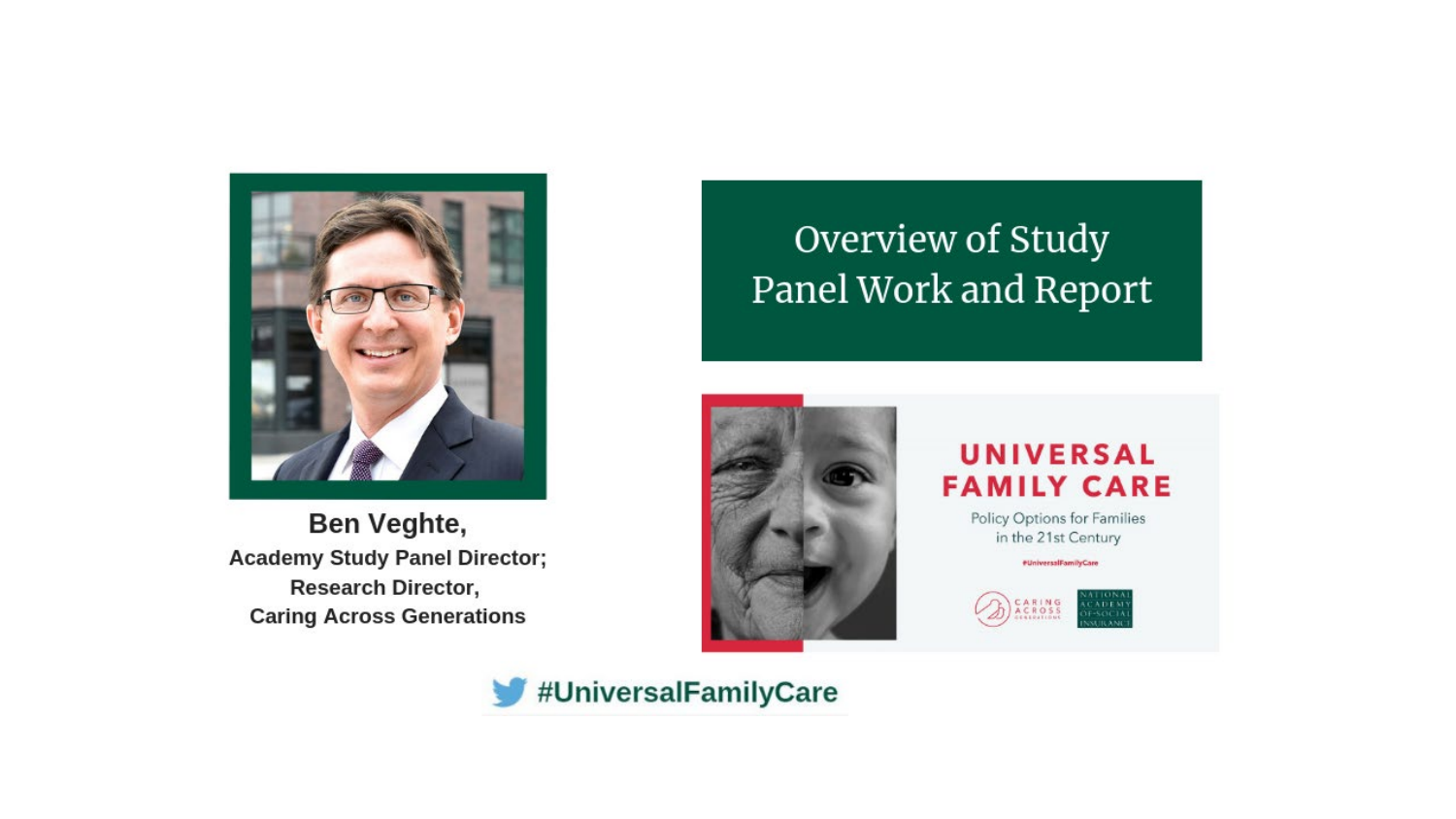

Ben Veghte, **Academy Study Panel Director; Research Director, Caring Across Generations** 

# Overview of Study Panel Work and Report



### UNIVERSAL **FAMILY CARE**

Policy Options for Families in the 21st Century

#UniversalFamilyCare



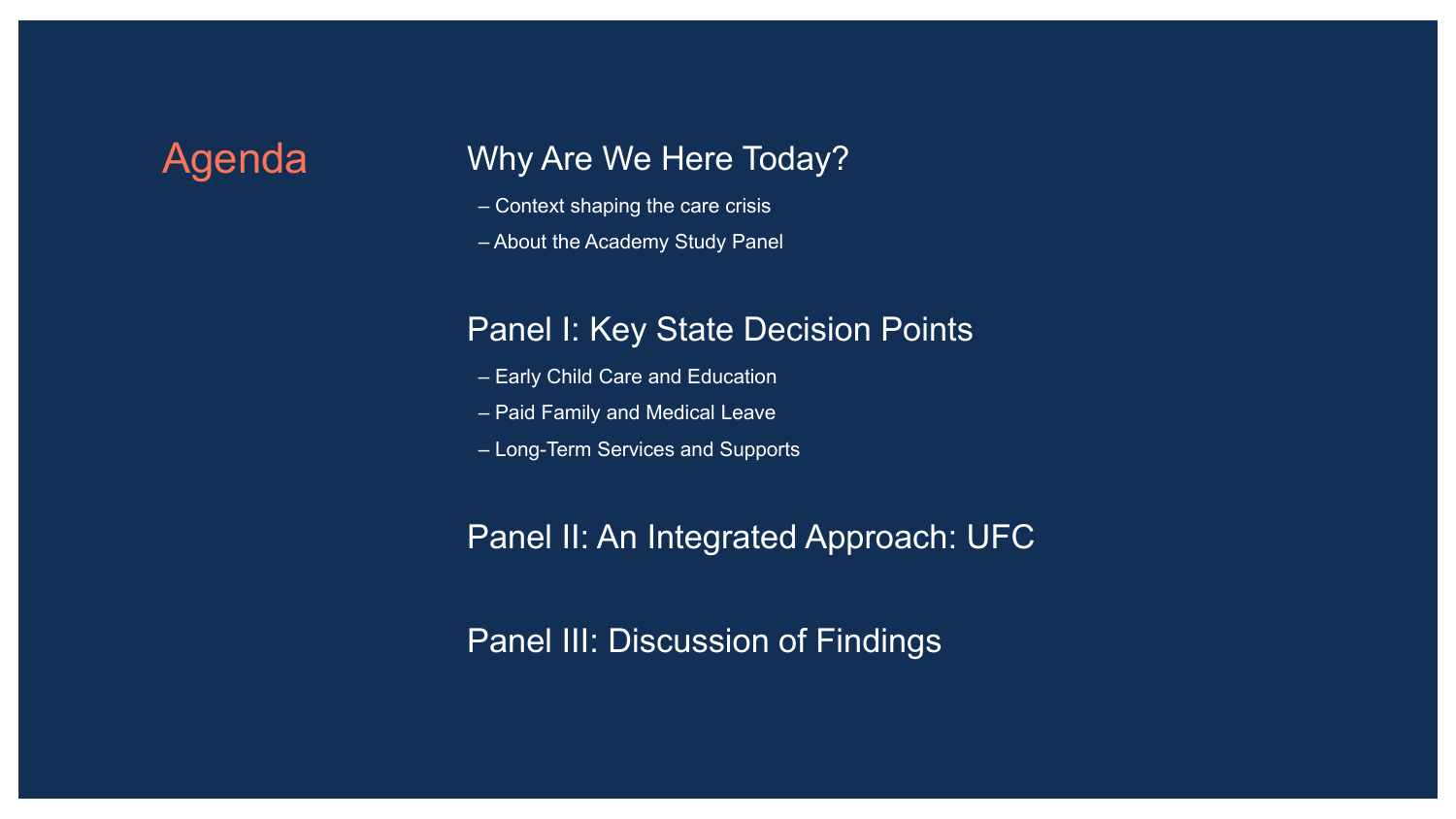## Agenda Why Are We Here Today?

- Context shaping the care crisis
- About the Academy Study Panel

### Panel I: Key State Decision Points

- Early Child Care and Education
- Paid Family and Medical Leave
- Long-Term Services and Supports

### Panel II: An Integrated Approach: UFC

Panel III: Discussion of Findings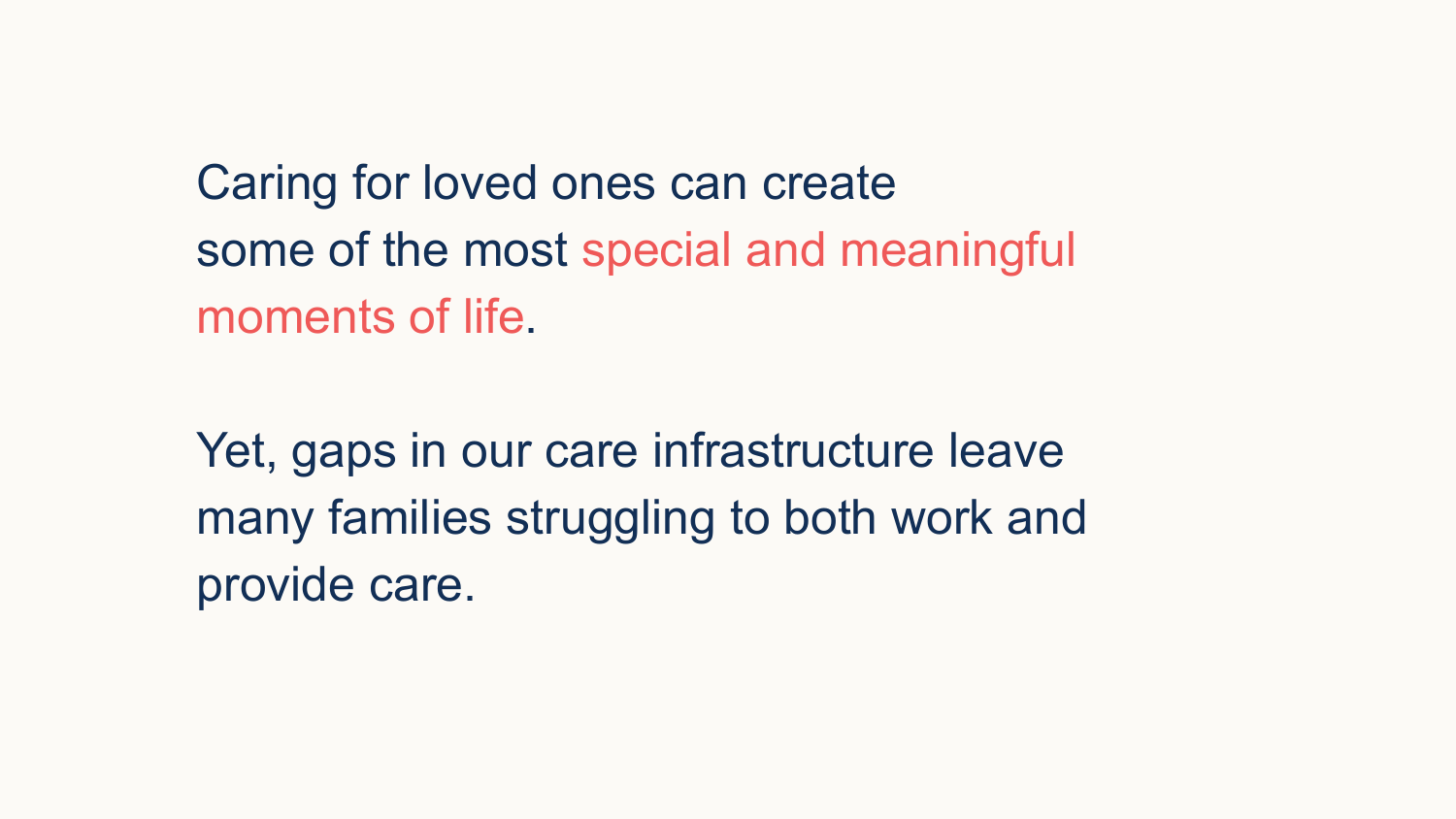Caring for loved ones can create some of the most special and meaningful moments of life.

Yet, gaps in our care infrastructure leave many families struggling to both work and provide care.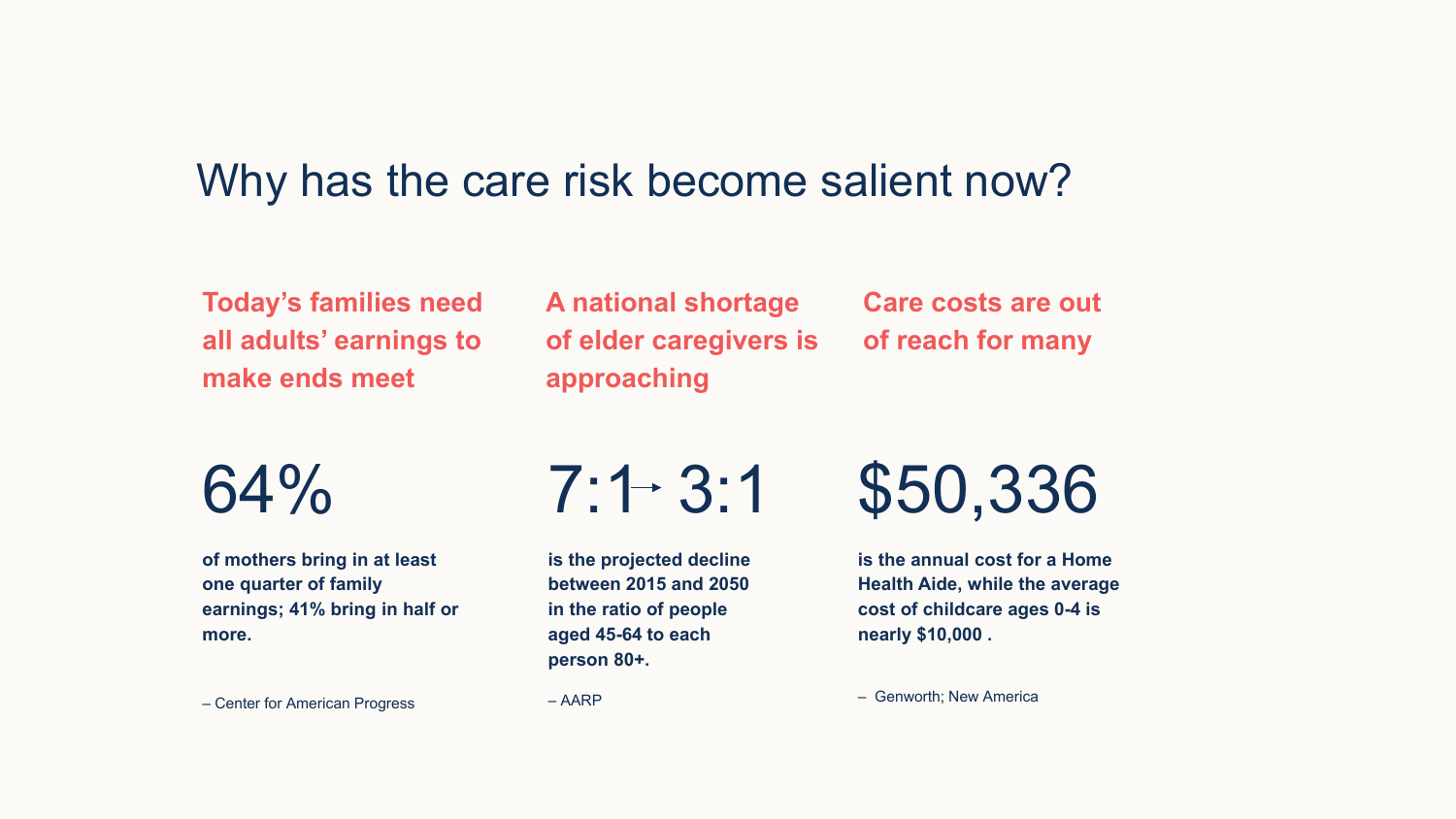# Why has the care risk become salient now?

**Today's families need all adults' earnings to make ends meet**

**A national shortage of elder caregivers is approaching**

**Care costs are out of reach for many**

64%

**of mothers bring in at least one quarter of family earnings; 41% bring in half or more.**

– Center for American Progress

$$
7:1 \div 3:1
$$

**is the projected decline between 2015 and 2050 in the ratio of people aged 45-64 to each person 80+.**

\$50,336

**is the annual cost for a Home Health Aide, while the average cost of childcare ages 0-4 is nearly \$10,000 .**

– AARP

– Genworth; New America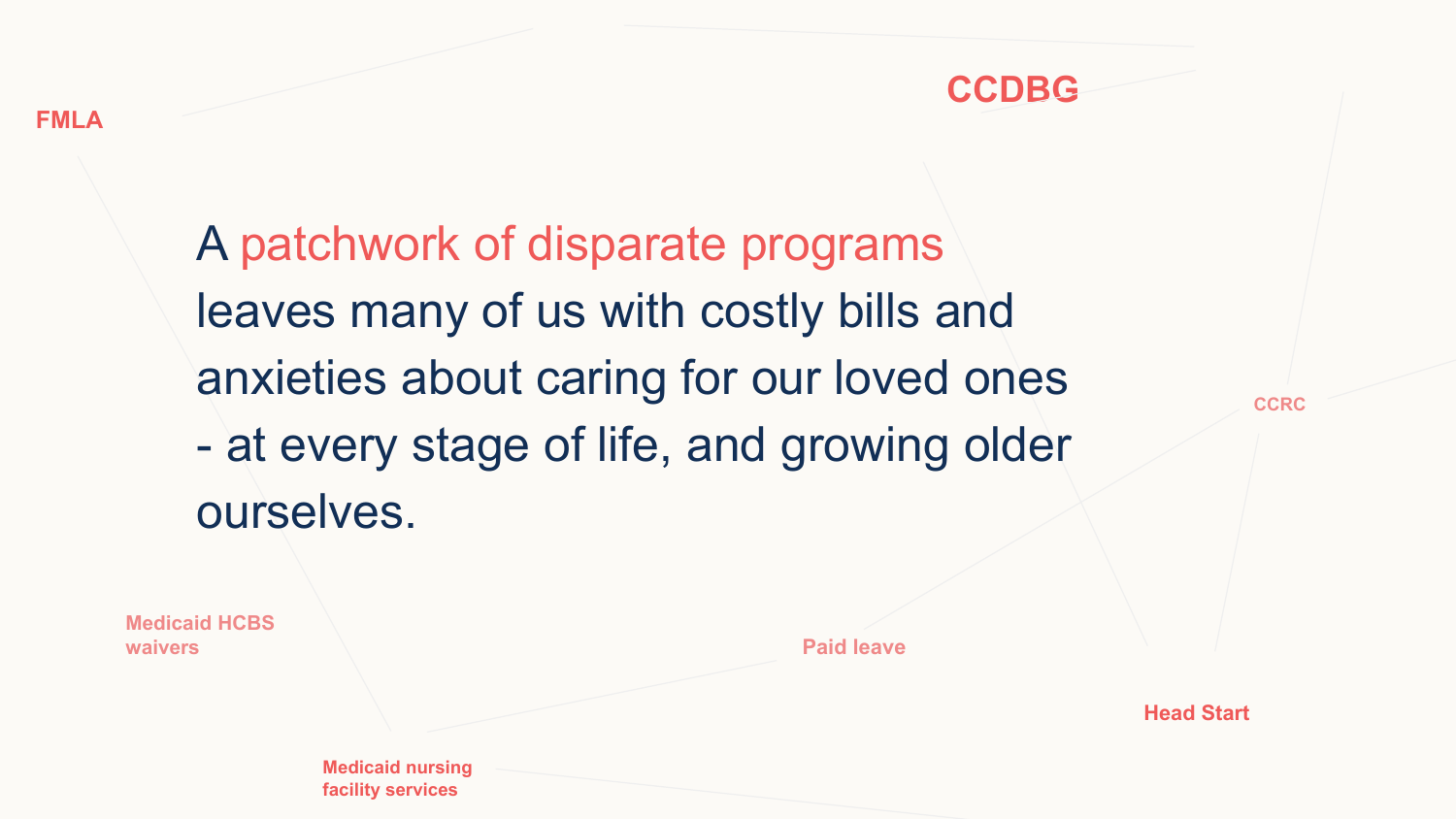**waivers**



A patchwork of disparate programs leaves many of us with costly bills and anxieties about caring for our loved ones - at every stage of life, and growing older ourselves.

**Medicaid nursing facility services Paid leave Medicaid HCBS** 

**CCRC**

**Head Start**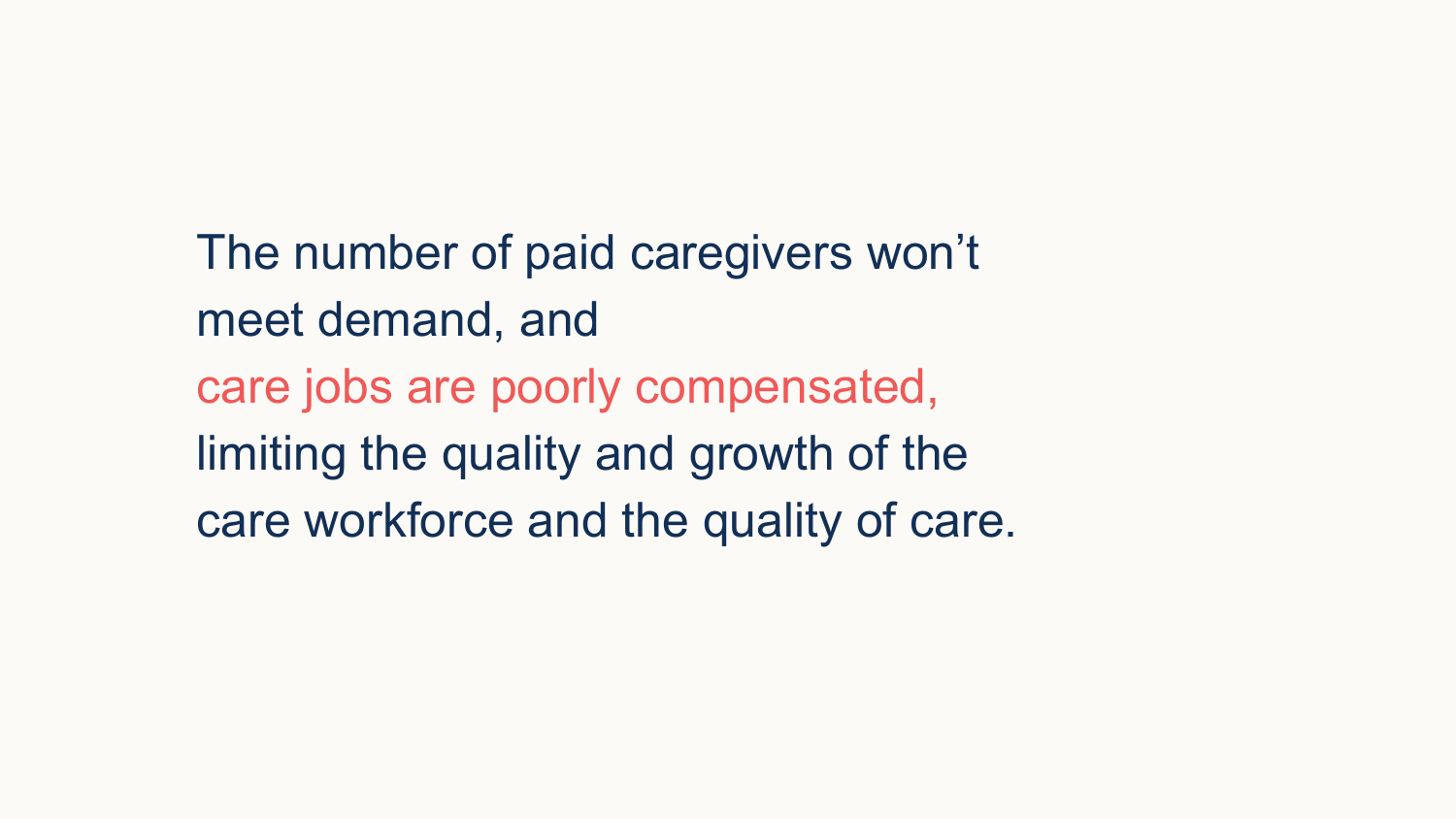The number of paid caregivers won't meet demand, and care jobs are poorly compensated, limiting the quality and growth of the care workforce and the quality of care.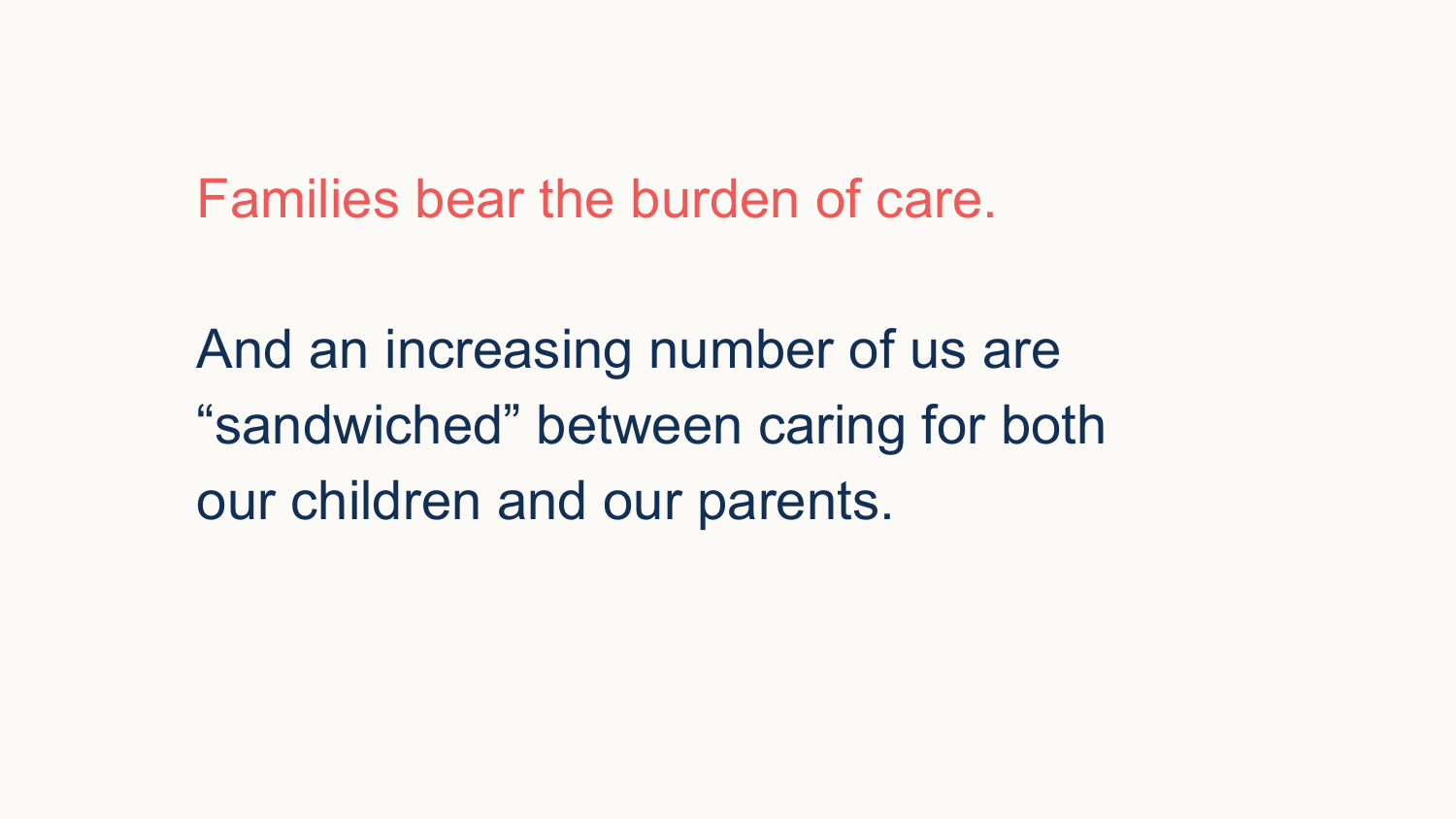Families bear the burden of care.

And an increasing number of us are "sandwiched" between caring for both our children and our parents.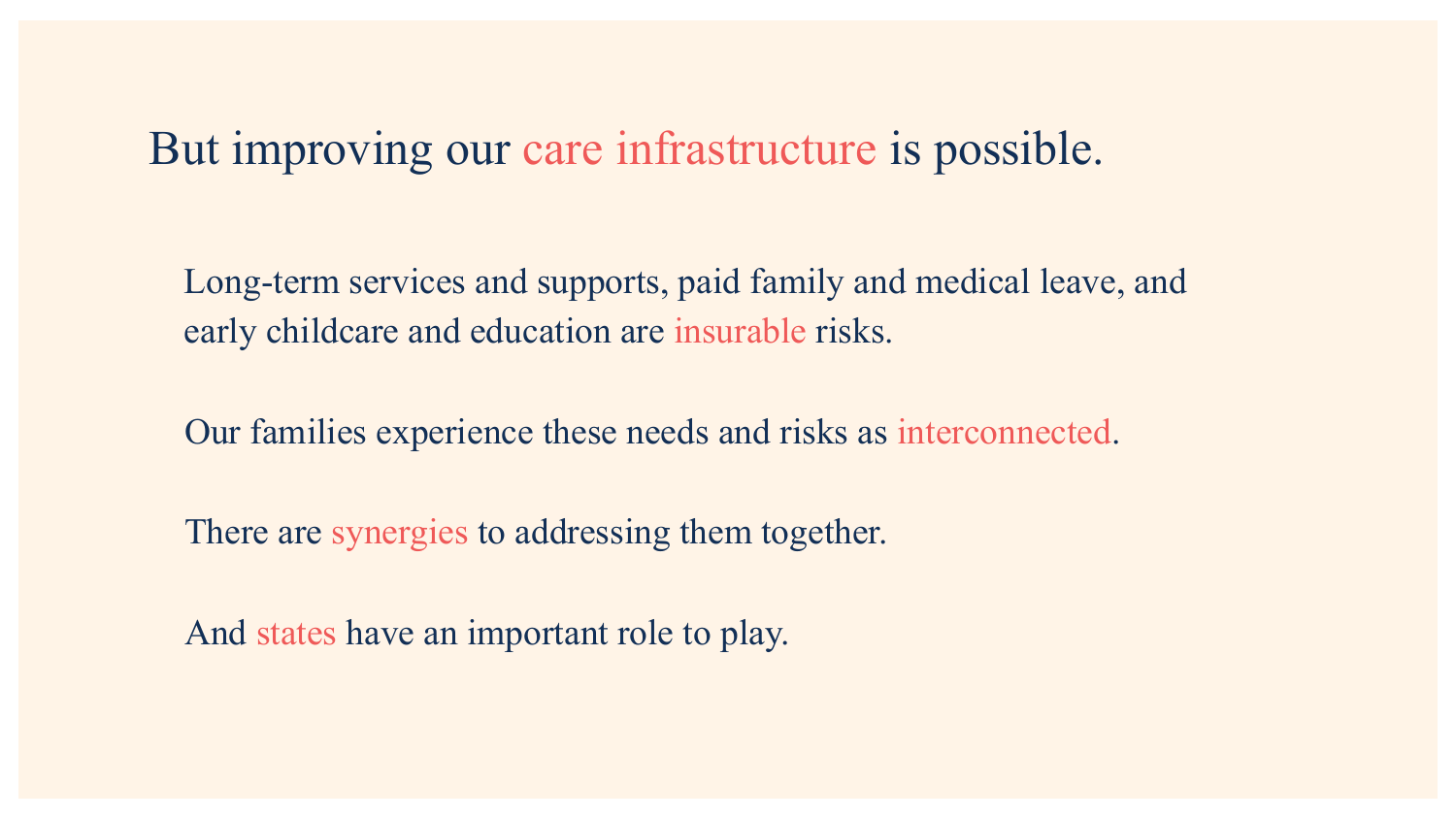## But improving our care infrastructure is possible.

Long-term services and supports, paid family and medical leave, and early childcare and education are insurable risks.

Our families experience these needs and risks as interconnected.

There are synergies to addressing them together.

And states have an important role to play.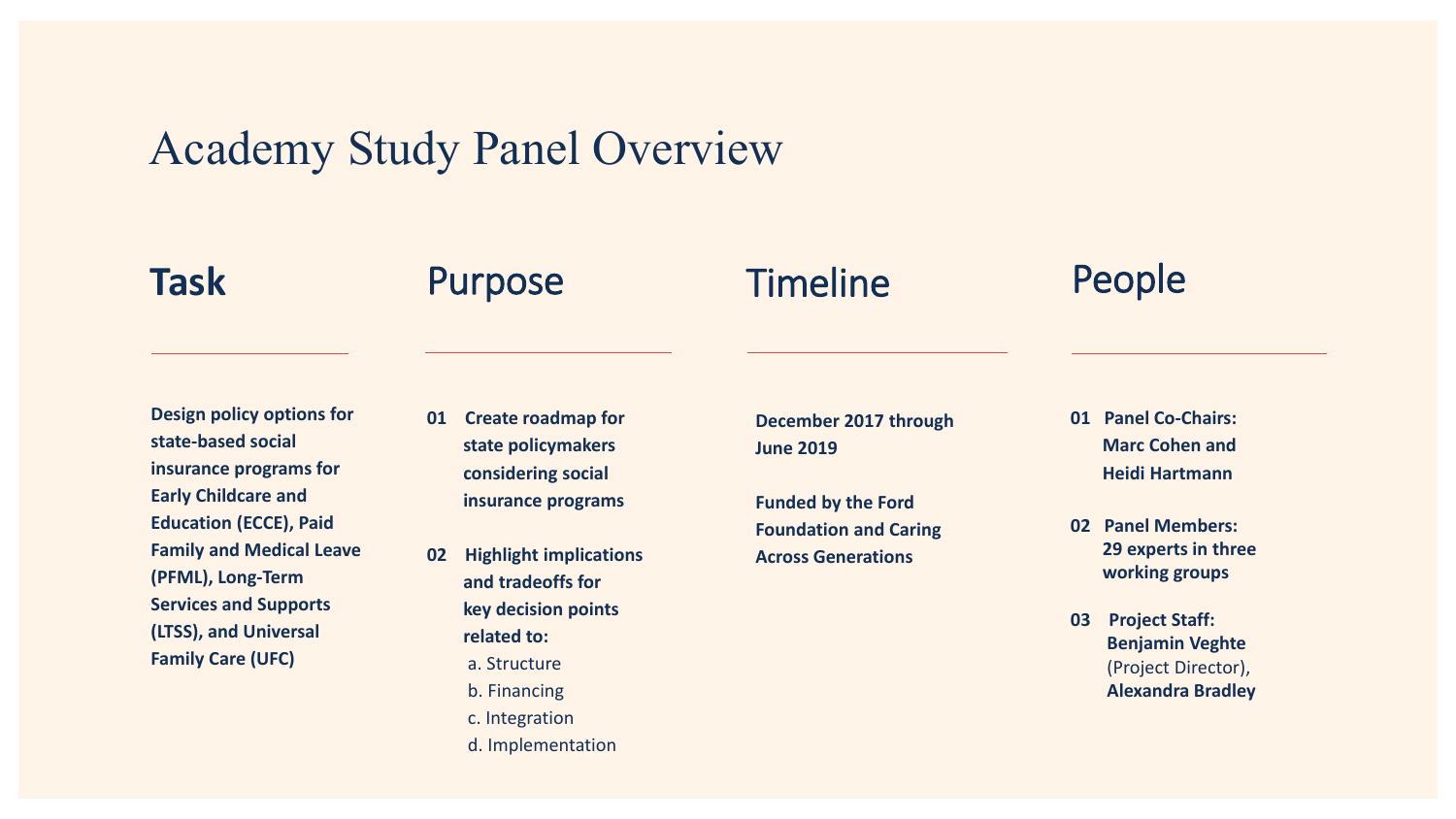# Academy Study Panel Overview

## Task Purpose Timeline People

## **Timeline**

**Design policy options for state-based social insurance programs for Early Childcare and Education (ECCE), Paid Family and Medical Leave (PFML), Long-Term Services and Supports (LTSS), and Universal Family Care (UFC)**

- **01 Create roadmap for state policymakers considering social insurance programs**
- **02 Highlight implications and tradeoffs for key decision points related to:** a. Structure b. Financing
	- c. Integration
	- d. Implementation

**December 2017 through June 2019**

**Funded by the Ford Foundation and Caring Across Generations**

- **01 Panel Co-Chairs: Marc Cohen and Heidi Hartmann**
- **02 Panel Members: 29 experts in three working groups**
- **03 Project Staff: Benjamin Veghte** (Project Director), **Alexandra Bradley**